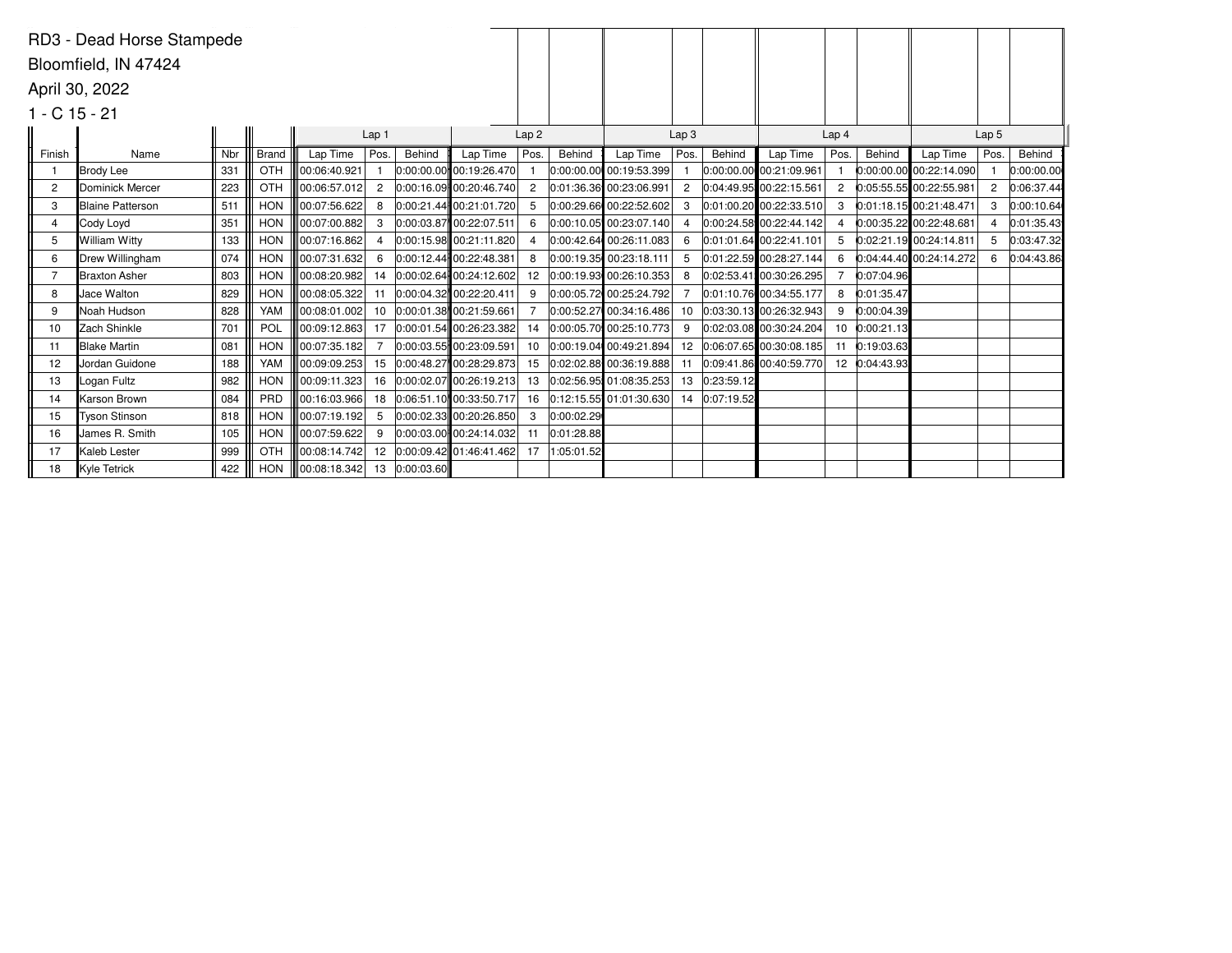|                | RD3 - Dead Horse Stampede |     |            |              |                  |            |                             |                  |            |                         |                  |            |                         |                  |            |                           |                  |            |
|----------------|---------------------------|-----|------------|--------------|------------------|------------|-----------------------------|------------------|------------|-------------------------|------------------|------------|-------------------------|------------------|------------|---------------------------|------------------|------------|
|                | Bloomfield, IN 47424      |     |            |              |                  |            |                             |                  |            |                         |                  |            |                         |                  |            |                           |                  |            |
|                | April 30, 2022            |     |            |              |                  |            |                             |                  |            |                         |                  |            |                         |                  |            |                           |                  |            |
|                |                           |     |            |              |                  |            |                             |                  |            |                         |                  |            |                         |                  |            |                           |                  |            |
|                | $1 - C$ 15 - 21           |     |            |              |                  |            |                             |                  |            |                         |                  |            |                         |                  |            |                           |                  |            |
|                |                           |     |            |              | Lap <sub>1</sub> |            |                             | Lap <sub>2</sub> |            |                         | Lap <sub>3</sub> |            |                         | Lap <sub>4</sub> |            |                           | Lap <sub>5</sub> |            |
| Finish         | Name                      | Nbr | Brand      | Lap Time     | Pos.             | Behind     | Lap Time                    | Pos.             | Behind     | Lap Time                | Pos.             | Behind     | Lap Time                | Pos.             | Behind     | Lap Time                  | Pos.             | Behind     |
|                | Brody Lee                 | 331 | OTH        | 00:06:40.921 |                  |            | 0:00:00.00 00:19:26.470     |                  |            | 0:00:00.00 00:19:53.399 |                  |            | 0:00:00.00 00:21:09.961 |                  |            | $0:00:00.00$ 00:22:14.090 |                  | 0:00:00.00 |
| $\overline{c}$ | <b>IDominick Mercer</b>   | 223 | OTH        | 00:06:57.012 | $\overline{2}$   |            | 0:00:16.09 00:20:46.740     | $\overline{2}$   |            | 0:01:36.36 00:23:06.991 | $\overline{c}$   |            | 0:04:49.95 00:22:15.561 | 2                |            | 0:05:55.55 00:22:55.981   | 2                | 0:06:37.44 |
| 3              | <b>Blaine Patterson</b>   | 511 | <b>HON</b> | 00:07:56.622 | 8                |            | 0:00:21.44 00:21:01.720     | -5               |            | 0:00:29.66 00:22:52.602 | 3                |            | 0:01:00.20 00:22:33.510 | 3                |            | 0:01:18.15 00:21:48.471   | 3                | 0:00:10.64 |
| 4              | Cody Loyd                 | 351 | <b>HON</b> | 00:07:00.882 | 3                |            | 0:00:03.87 00:22:07.511     | 6                |            | 0:00:10.05 00:23:07.140 |                  |            | 0:00:24.58 00:22:44.142 | 4                |            | 0:00:35.22 00:22:48.681   |                  | 0:01:35.43 |
| 5              | William Witty             | 133 | <b>HON</b> | 00:07:16.862 | 4                |            | 0:00:15.98 00:21:11.820     |                  |            | 0:00:42.64 00:26:11.083 | 6                |            | 0:01:01.64 00:22:41.101 | 5                |            | 0:02:21.19 00:24:14.811   |                  | 0:03:47.32 |
| 6              | Drew Willingham           | 074 | <b>HON</b> | 00:07:31.632 | 6                |            | $0:00:12.44$ 00:22:48.381   | 8                |            | 0:00:19.35 00:23:18.111 | 5                |            | 0:01:22.59 00:28:27.144 | 6                |            | 0:04:44.40 00:24:14.272   | 6                | 0:04:43.86 |
|                | lBraxton Asher            | 803 | <b>HON</b> | 00:08:20.982 | 14               |            | 0:00:02.64 00:24:12.602     | 12 <sup>12</sup> |            | 0:00:19.93 00:26:10.353 | 8                |            | 0:02:53.41 00:30:26.295 |                  | 0:07:04.96 |                           |                  |            |
| 8              | Jace Walton               | 829 | <b>HON</b> | 00:08:05.322 | 11               |            | $ 0:00:04.32 $ 00:22:20.411 |                  |            | 0:00:05.72 00:25:24.792 |                  |            | 0:01:10.76 00:34:55.177 | 8                | 0:01:35.47 |                           |                  |            |
| 9              | Noah Hudson               | 828 | YAM        | 00:08:01.002 | 10               |            | 0:00:01.38 00:21:59.661     |                  |            | 0:00:52.27 00:34:16.486 | 10               |            | 0:03:30.13 00:26:32.943 | 9                | 0:00:04.39 |                           |                  |            |
| 10             | Zach Shinkle              | 701 | POL        | 00:09:12.863 | 17               |            | $0:00:01.54$ 00:26:23.382   | 14               |            | 0:00:05.70 00:25:10.773 | 9                |            | 0:02:03.08 00:30:24.204 | 10               | 0:00:21.13 |                           |                  |            |
| 11             | <b>Blake Martin</b>       | 081 | <b>HON</b> | 00:07:35.182 |                  |            | 0:00:03.55 00:23:09.591     | 10               |            | 0:00:19.04 00:49:21.894 | 12               |            | 0:06:07.65 00:30:08.185 | 11               | 0:19:03.63 |                           |                  |            |
| 12             | Jordan Guidone            | 188 | YAM        | 00:09:09.253 | 15               |            | $0:00:48.27$ 00:28:29.873   | 15               |            | 0:02:02.88 00:36:19.888 | 11               |            | 0:09:41.86 00:40:59.770 | 12               | 0:04:43.93 |                           |                  |            |
| 13             | Logan Fultz               | 982 | <b>HON</b> | 00:09:11.323 | 16               |            | $ 0:00:02.07 $ 00:26:19.213 | 13               |            | 0:02:56.95 01:08:35.253 | 13               | 0:23:59.12 |                         |                  |            |                           |                  |            |
| 14             | Karson Brown              | 084 | PRD        | 00:16:03.966 | 18               |            | $0.06:51.10$ 00:33:50.717   | 16               |            | 0:12:15.55 01:01:30.630 | 14               | 0:07:19.52 |                         |                  |            |                           |                  |            |
| 15             | Tyson Stinson             | 818 | <b>HON</b> | 00:07:19.192 | -5               |            | $0:00:02.33$ 00:20:26.850   |                  | 0:00:02.29 |                         |                  |            |                         |                  |            |                           |                  |            |
| 16             | James R. Smith            | 105 | <b>HON</b> | 00:07:59.622 | 9                |            | $0:00:03.00$ 00:24:14.032   |                  | 0:01:28.88 |                         |                  |            |                         |                  |            |                           |                  |            |
| 17             | Kaleb Lester              | 999 | OTH        | 00:08:14.742 | 12               |            | $0:00:09.42$ 01:46:41.462   | 17               | 1:05:01.52 |                         |                  |            |                         |                  |            |                           |                  |            |
| 18             | Kyle Tetrick              | 422 | <b>HON</b> | 00:08:18.342 | 13               | 0:00:03.60 |                             |                  |            |                         |                  |            |                         |                  |            |                           |                  |            |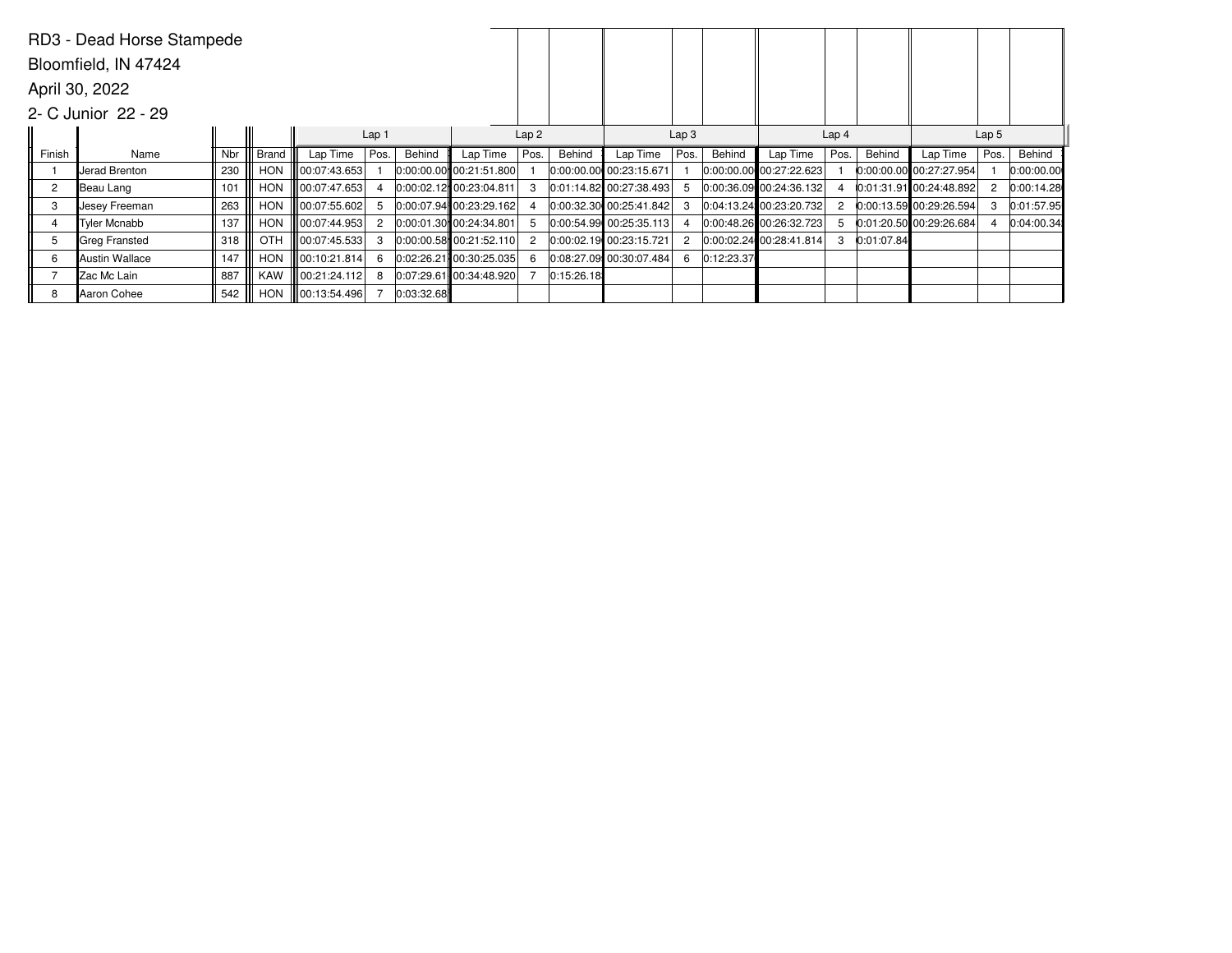|                | RD3 - Dead Horse Stampede |     |            |              |                  |            |                           |      |            |                           |                  |            |                             |                  |            |                           |                  |            |
|----------------|---------------------------|-----|------------|--------------|------------------|------------|---------------------------|------|------------|---------------------------|------------------|------------|-----------------------------|------------------|------------|---------------------------|------------------|------------|
|                | Bloomfield, IN 47424      |     |            |              |                  |            |                           |      |            |                           |                  |            |                             |                  |            |                           |                  |            |
|                | April 30, 2022            |     |            |              |                  |            |                           |      |            |                           |                  |            |                             |                  |            |                           |                  |            |
|                | 2- C Junior 22 - 29       |     |            |              |                  |            |                           |      |            |                           |                  |            |                             |                  |            |                           |                  |            |
|                |                           |     |            |              | Lap <sub>1</sub> |            |                           | Lap2 |            |                           | Lap <sub>3</sub> |            |                             | Lap <sub>4</sub> |            |                           | Lap <sub>5</sub> |            |
| Finish         | Name                      | Nbr | Brand      | Lap Time     | Pos.             | Behind     | Lap Time                  | Pos. | Behind     | Lap Time                  | Pos.             | Behind     | Lap Time                    | Pos.             | Behind     | Lap Time                  | Pos.             | Behind     |
|                | Jerad Brenton             | 230 | <b>HON</b> | 00:07:43.653 |                  |            | $0:00:00.00$ 00:21:51.800 |      |            | 0:00:00.00 00:23:15.671   |                  |            | $ 0:00:00.00 $ 00:27:22.623 |                  |            | $0:00:00.00$ 00:27:27.954 |                  | 0:00:00.00 |
| $\overline{c}$ | Beau Lang                 | 101 | <b>HON</b> | 00:07:47.653 |                  |            | 0:00:02.12 00:23:04.811   |      |            | 0:01:14.82 00:27:38.493   |                  |            | $ 0:00:36.09 $ 00:24:36.132 |                  |            | $0:01:31.91$ 00:24:48.892 |                  | 0:00:14.28 |
| 3              | Uesey Freeman             | 263 | <b>HON</b> | 00:07:55.602 | -5               |            | 0:00:07.94 00:23:29.162   |      |            | $0:00:32.30$ 00:25:41.842 |                  |            | 0:04:13.24 00:23:20.732     | 2                |            | $0:00:13.59$ 00:29:26.594 |                  | 0:01:57.95 |
| 4              | <b>Tyler Mcnabb</b>       | 137 | <b>HON</b> | 00:07:44.953 | $\overline{c}$   |            | $0:00:01.30$ 00:24:34.801 |      |            | 0:00:54.99 00:25:35.113   |                  |            | 0:00:48.26 00:26:32.723     | 5                |            | 0:01:20.50 00:29:26.684   |                  | 0:04:00.34 |
| 5              | Greg Fransted             | 318 | OTH        | 00:07:45.533 | 3                |            | $0:00:00.58$ 00:21:52.110 |      |            | 0:00:02.19 00:23:15.721   |                  |            | 0:00:02.24 00:28:41.814     | 3                | 0:01:07.84 |                           |                  |            |
| 6              | Austin Wallace            | 147 | <b>HON</b> | 00:10:21.814 | -6               |            | $0.02:26.21$ 00:30:25.035 |      |            | $0.08:27.09$ 00:30:07.484 | 6                | 0:12:23.37 |                             |                  |            |                           |                  |            |
|                | Zac Mc Lain               | 887 | <b>KAW</b> | 00:21:24.112 | 8                |            | $0.07:29.61$ 00:34:48.920 |      | 0:15:26.18 |                           |                  |            |                             |                  |            |                           |                  |            |
| 8              | Aaron Cohee               | 542 | <b>HON</b> | 00:13:54.496 |                  | 0:03:32.68 |                           |      |            |                           |                  |            |                             |                  |            |                           |                  |            |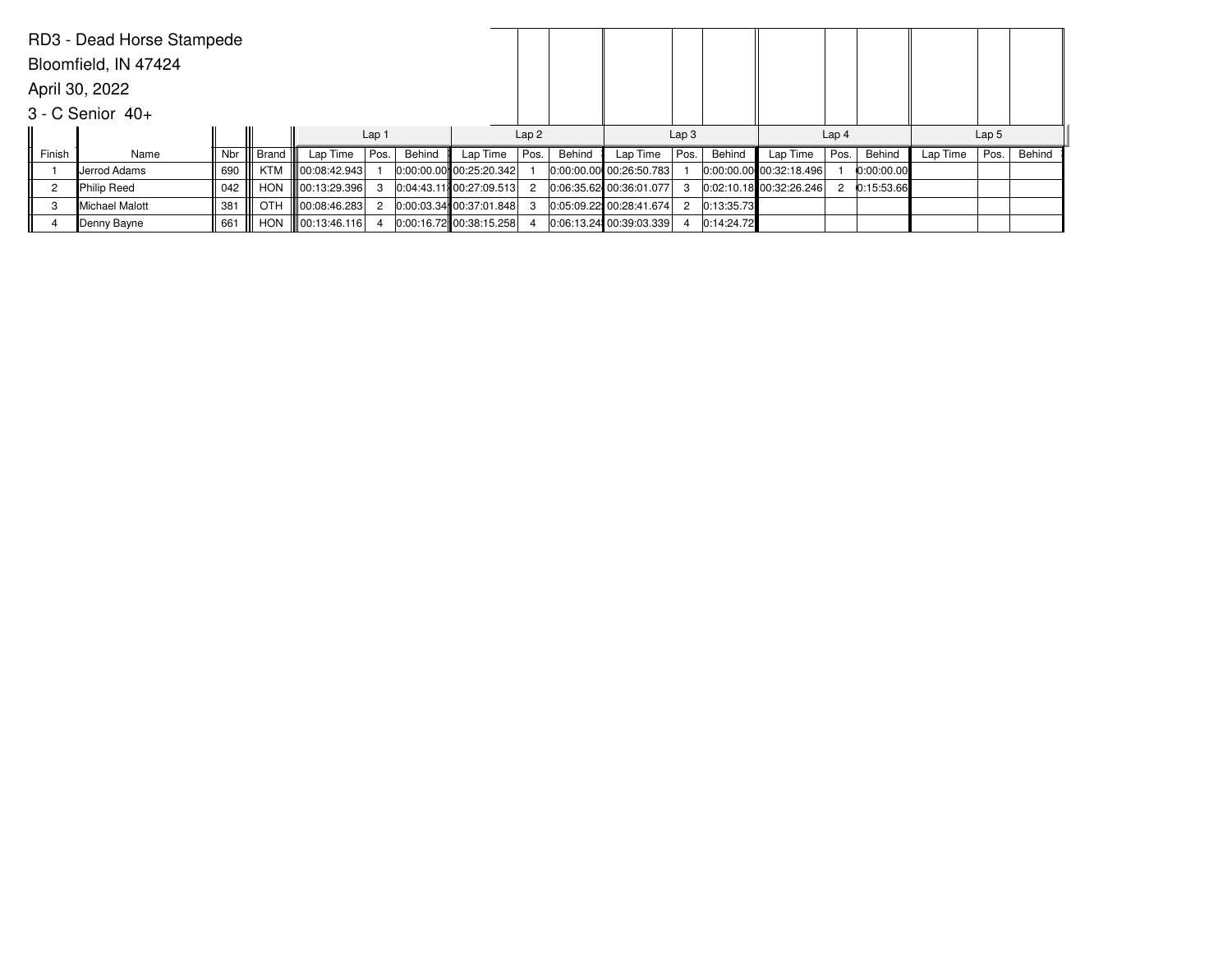|                | RD3 - Dead Horse Stampede |     |            |                      |                  |        |                             |      |        |                         |                  |            |                             |                  |            |          |                  |        |
|----------------|---------------------------|-----|------------|----------------------|------------------|--------|-----------------------------|------|--------|-------------------------|------------------|------------|-----------------------------|------------------|------------|----------|------------------|--------|
|                | Bloomfield, IN 47424      |     |            |                      |                  |        |                             |      |        |                         |                  |            |                             |                  |            |          |                  |        |
|                | April 30, 2022            |     |            |                      |                  |        |                             |      |        |                         |                  |            |                             |                  |            |          |                  |        |
|                | $3 - C$ Senior $40+$      |     |            |                      |                  |        |                             |      |        |                         |                  |            |                             |                  |            |          |                  |        |
|                |                           |     |            |                      | Lap <sub>1</sub> |        |                             | Lap2 |        |                         | Lap <sub>3</sub> |            |                             | Lap <sub>4</sub> |            |          | Lap <sub>5</sub> |        |
| Finish         | Name                      | Nbr | Brand      | Lap Time             | Pos.             | Behind | Lap Time                    | Pos. | Behind | Lap Time                | Pos.             | Behind     | Lap Time                    | Pos.             | Behind     | Lap Time | Pos.             | Behind |
|                | <b>I</b> Jerrod Adams     | 690 | KTM        | $\ $ 00:08:42.943    |                  |        | $ 0:00:00.00 $ 00:25:20.342 |      |        | 0:00:00.00 00:26:50.783 |                  |            | $ 0:00:00.00 $ 00:32:18.496 |                  | 0:00:00.00 |          |                  |        |
| $\overline{c}$ | Philip Reed               | 042 | <b>HON</b> | $\  00:13:29.396 \ $ | 3                |        | 0.04:43.11 00:27:09.513     | 2    |        | 0:06:35.62 00:36:01.077 |                  |            | 0:02:10.18 00:32:26.246     |                  | 0:15:53.66 |          |                  |        |
| 3              | Michael Malott            | 381 | <b>OTH</b> | 00:08:46.283         | $\mathcal{P}$    |        | $ 0:00:03.34 $ 00:37:01.848 |      |        | 0:05:09.22 00:28:41.674 | $\overline{2}$   | 0:13:35.73 |                             |                  |            |          |                  |        |
|                | Denny Bayne               | 661 | <b>HON</b> | $\  00:13:46.116 \ $ |                  |        | 0:00:16.72 00:38:15.258     |      |        | 0:06:13.24 00:39:03.339 | 4                | 0:14:24.72 |                             |                  |            |          |                  |        |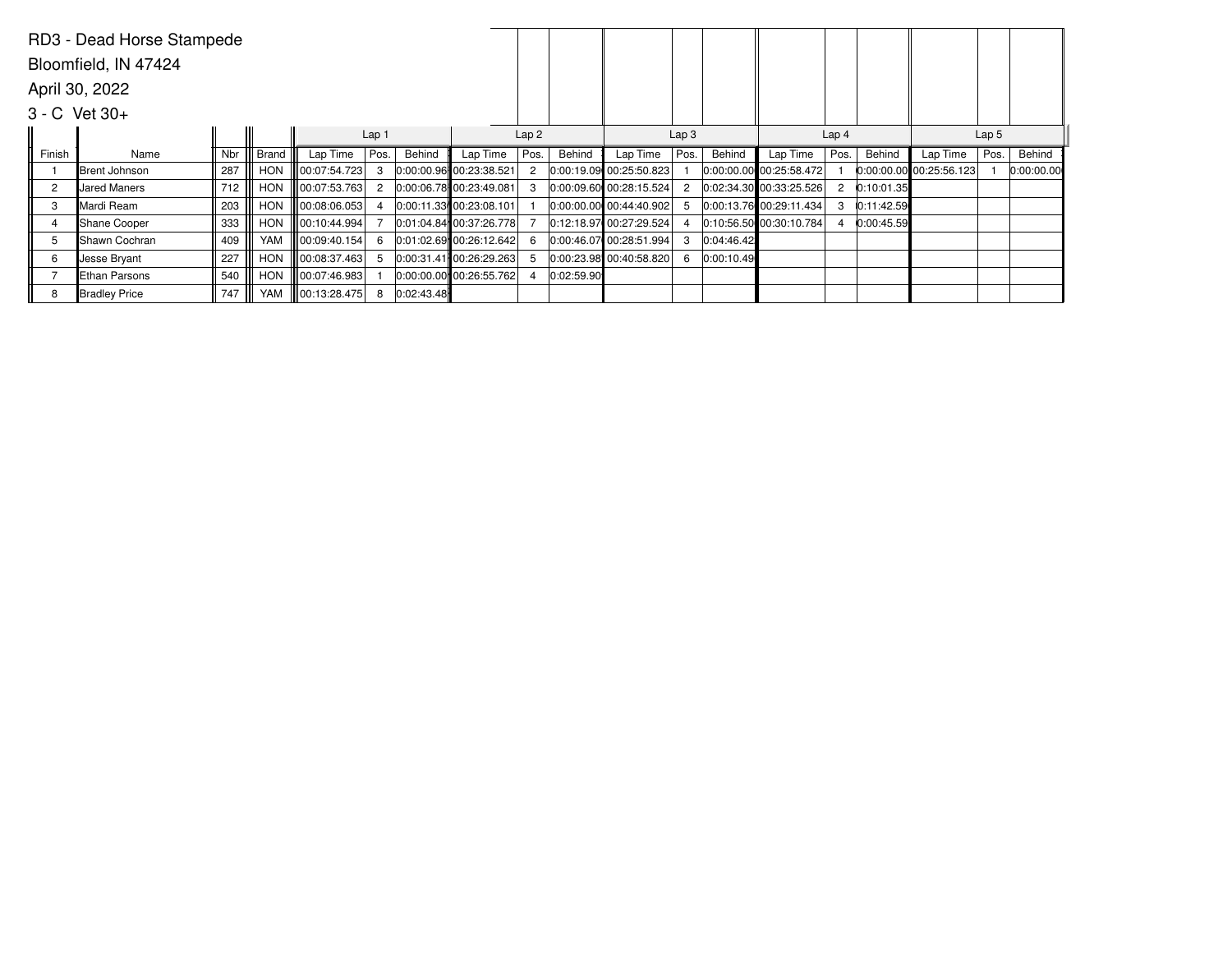|                | RD3 - Dead Horse Stampede |     |            |              |                  |            |                             |      |            |                           |                  |            |                             |                  |            |                           |                  |            |
|----------------|---------------------------|-----|------------|--------------|------------------|------------|-----------------------------|------|------------|---------------------------|------------------|------------|-----------------------------|------------------|------------|---------------------------|------------------|------------|
|                | Bloomfield, IN 47424      |     |            |              |                  |            |                             |      |            |                           |                  |            |                             |                  |            |                           |                  |            |
|                | April 30, 2022            |     |            |              |                  |            |                             |      |            |                           |                  |            |                             |                  |            |                           |                  |            |
|                | $3 - C$ Vet $30 +$        |     |            |              |                  |            |                             |      |            |                           |                  |            |                             |                  |            |                           |                  |            |
|                |                           |     |            |              | Lap <sub>1</sub> |            |                             | Lap2 |            |                           | Lap <sub>3</sub> |            |                             | Lap <sub>4</sub> |            |                           | Lap <sub>5</sub> |            |
| Finish         | Name                      | Nbr | Brand      | Lap Time     | Pos.             | Behind     | Lap Time                    | Pos. | Behind     | Lap Time                  | Pos.             | Behind     | Lap Time                    | Pos.             | Behind     | Lap Time                  | Pos.             | Behind     |
|                | Brent Johnson             | 287 | <b>HON</b> | 00:07:54.723 | 3                |            | 0:00:00.96 00:23:38.521     |      |            | 0:00:19.09 00:25:50.823   |                  |            | $ 0:00:00.00 $ 00:25:58.472 |                  |            | $0:00:00.00$ 00:25:56.123 |                  | 0:00:00.00 |
| $\overline{c}$ | <b>Jared Maners</b>       | 712 | <b>HON</b> | 00:07:53.763 | $\overline{2}$   |            | 0:00:06.78 00:23:49.081     |      |            | 0:00:09.60 00:28:15.524   |                  |            | $ 0:02:34.30 $ 00:33:25.526 | $\overline{2}$   | 0:10:01.35 |                           |                  |            |
| 3              | Mardi Ream                | 203 | <b>HON</b> | 00:08:06.053 | 4                |            | $ 0:00:11.33 $ 00:23:08.101 |      |            | $0:00:00.00$ 00:44:40.902 | 5                |            | $ 0:00:13.76 $ 00:29:11.434 | 3                | 0:11:42.59 |                           |                  |            |
| 4              | Shane Cooper              | 333 | <b>HON</b> | 00:10:44.994 |                  |            | $0:01:04.84$ 00:37:26.778   |      |            | 0:12:18.97 00:27:29.524   |                  |            | 0:10:56.50 00:30:10.784     | 4                | 0:00:45.59 |                           |                  |            |
| 5              | lShawn Cochran            | 409 | YAM        | 00:09:40.154 | 6                |            | 0:01:02.69 00:26:12.642     |      |            | 0:00:46.07 00:28:51.994   | 3                | 0:04:46.42 |                             |                  |            |                           |                  |            |
| 6              | Jesse Bryant              | 227 | <b>HON</b> | 00:08:37.463 | -5               |            | 0:00:31.41 00:26:29.263     |      |            | $0.00:23.98$ 00:40:58.820 | 6                | 0:00:10.49 |                             |                  |            |                           |                  |            |
|                | Ethan Parsons             | 540 | <b>HON</b> | 00:07:46.983 |                  |            | $ 0:00:00.00 $ 00:26:55.762 |      | 0:02:59.90 |                           |                  |            |                             |                  |            |                           |                  |            |
| 8              | Bradley Price             | 747 | YAM        | 00:13:28.475 | 8                | 0:02:43.48 |                             |      |            |                           |                  |            |                             |                  |            |                           |                  |            |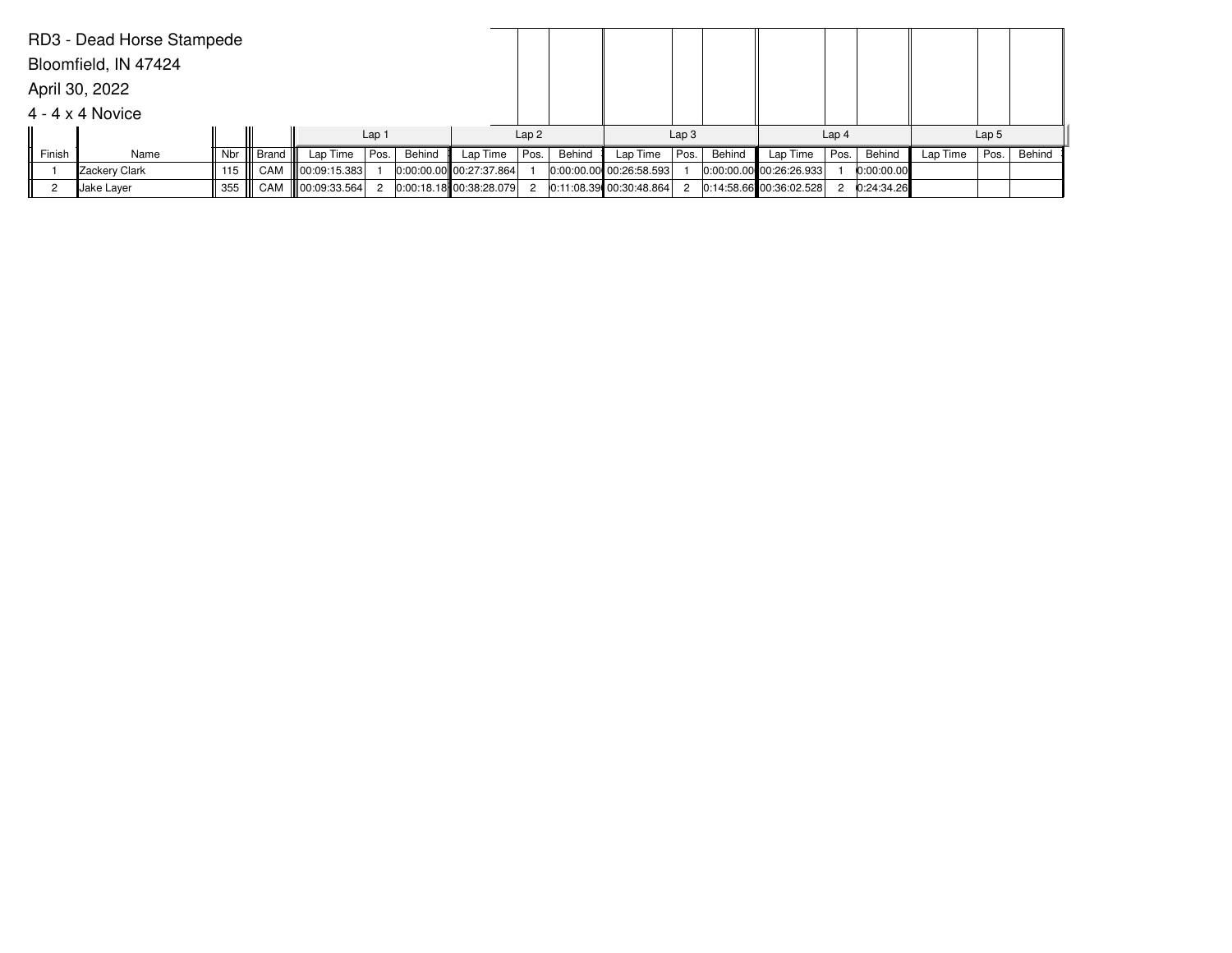|        | RD3 - Dead Horse Stampede |     |       |                      |                  |        |                             |                  |        |                           |                  |        |                             |                  |              |          |                  |        |
|--------|---------------------------|-----|-------|----------------------|------------------|--------|-----------------------------|------------------|--------|---------------------------|------------------|--------|-----------------------------|------------------|--------------|----------|------------------|--------|
|        | Bloomfield, IN 47424      |     |       |                      |                  |        |                             |                  |        |                           |                  |        |                             |                  |              |          |                  |        |
|        | April 30, 2022            |     |       |                      |                  |        |                             |                  |        |                           |                  |        |                             |                  |              |          |                  |        |
|        | $4 - 4 \times 4$ Novice   |     |       |                      |                  |        |                             |                  |        |                           |                  |        |                             |                  |              |          |                  |        |
|        |                           |     |       |                      | Lap <sub>1</sub> |        |                             | Lap <sub>2</sub> |        |                           | Lap <sub>3</sub> |        |                             | Lap <sub>4</sub> |              |          | Lap <sub>5</sub> |        |
| Finish | Name                      | Nbr | Brand | Lap Time             | Pos.             | Behind | Lap Time                    | Pos.             | Behind | Lap Time                  | Pos.             | Behind | Lap Time                    | Pos.             | Behind       | Lap Time | Pos.             | Behind |
|        | Zackery Clark             | 115 | CAM   | $\  00:09:15.383 \ $ |                  |        | $ 0:00:00.00 $ 00:27:37.864 |                  |        | $0:00:00.00$ 00:26:58.593 |                  |        | $ 0:00:00.00 $ 00:26:26.933 |                  | 0:00:00.00   |          |                  |        |
|        | ∥Jake Layer               | 355 |       | CAM    00:09:33.564  | $\overline{2}$   |        | 0:00:18.18 00:38:28.079     | $\overline{2}$   |        | 0:11:08.39 00:30:48.864   | $\mathbf{2}$     |        | $0:14:58.66$ 00:36:02.528   |                  | 2 0:24:34.26 |          |                  |        |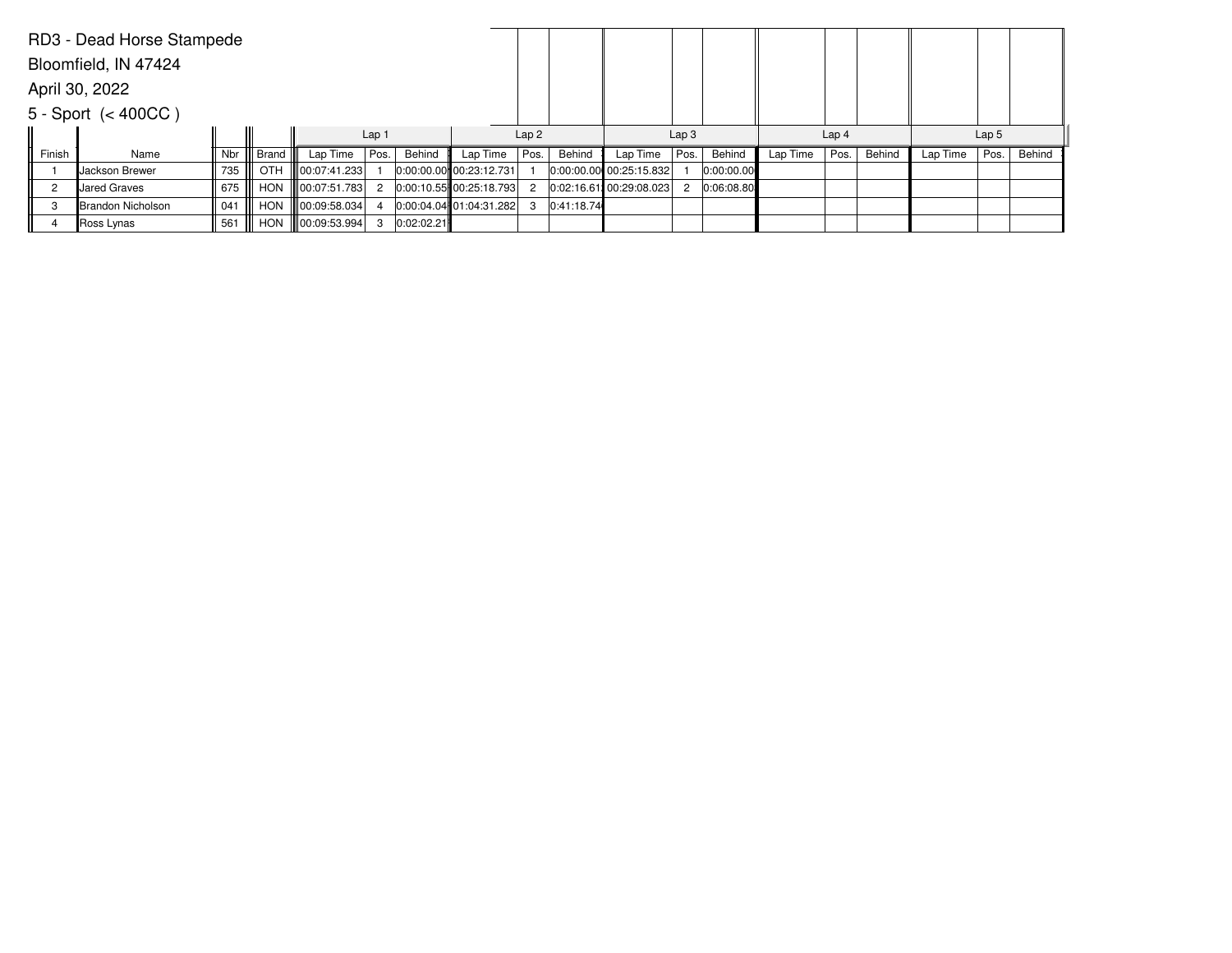|        | RD3 - Dead Horse Stampede |     |            |                      |                  |            |                             |      |            |                         |                  |            |          |                  |        |          |                  |        |
|--------|---------------------------|-----|------------|----------------------|------------------|------------|-----------------------------|------|------------|-------------------------|------------------|------------|----------|------------------|--------|----------|------------------|--------|
|        | Bloomfield, IN 47424      |     |            |                      |                  |            |                             |      |            |                         |                  |            |          |                  |        |          |                  |        |
|        | April 30, 2022            |     |            |                      |                  |            |                             |      |            |                         |                  |            |          |                  |        |          |                  |        |
|        | $5 - Sport \leq 400CC$ )  |     |            |                      |                  |            |                             |      |            |                         |                  |            |          |                  |        |          |                  |        |
|        |                           |     |            |                      | Lap <sub>1</sub> |            |                             | Lap2 |            |                         | Lap <sub>3</sub> |            |          | Lap <sub>4</sub> |        |          | Lap <sub>5</sub> |        |
| Finish | Name                      | Nbr | Brand      | Lap Time             | Pos.             | Behind     | Lap Time                    | Pos. | Behind     | Lap Time                | Pos.             | Behind     | Lap Time | Pos.             | Behind | Lap Time | Pos.             | Behind |
|        | <b>I</b> Jackson Brewer   | 735 | OTH        | 00:07:41.233         |                  |            | $ 0:00:00.00 $ 00:23:12.731 |      |            | 0:00:00.00 00:25:15.832 |                  | 0:00:00.00 |          |                  |        |          |                  |        |
| 2      | Uared Graves              | 675 | <b>HON</b> | 00:07:51.783         | $\overline{2}$   |            | $0:00:10.55$ 00:25:18.793   | 2    |            | 0:02:16.61 00:29:08.023 | 2                | 0:06:08.80 |          |                  |        |          |                  |        |
| 3      | Brandon Nicholson         | 041 | <b>HON</b> | $\  00:09:58.034 \ $ |                  |            | $0:00:04.04$ 01:04:31.282   | 3    | 0:41:18.74 |                         |                  |            |          |                  |        |          |                  |        |
|        | Ross Lynas                | 561 | <b>HON</b> | $\  00:09:53.994 \ $ | 3                | 0:02:02.21 |                             |      |            |                         |                  |            |          |                  |        |          |                  |        |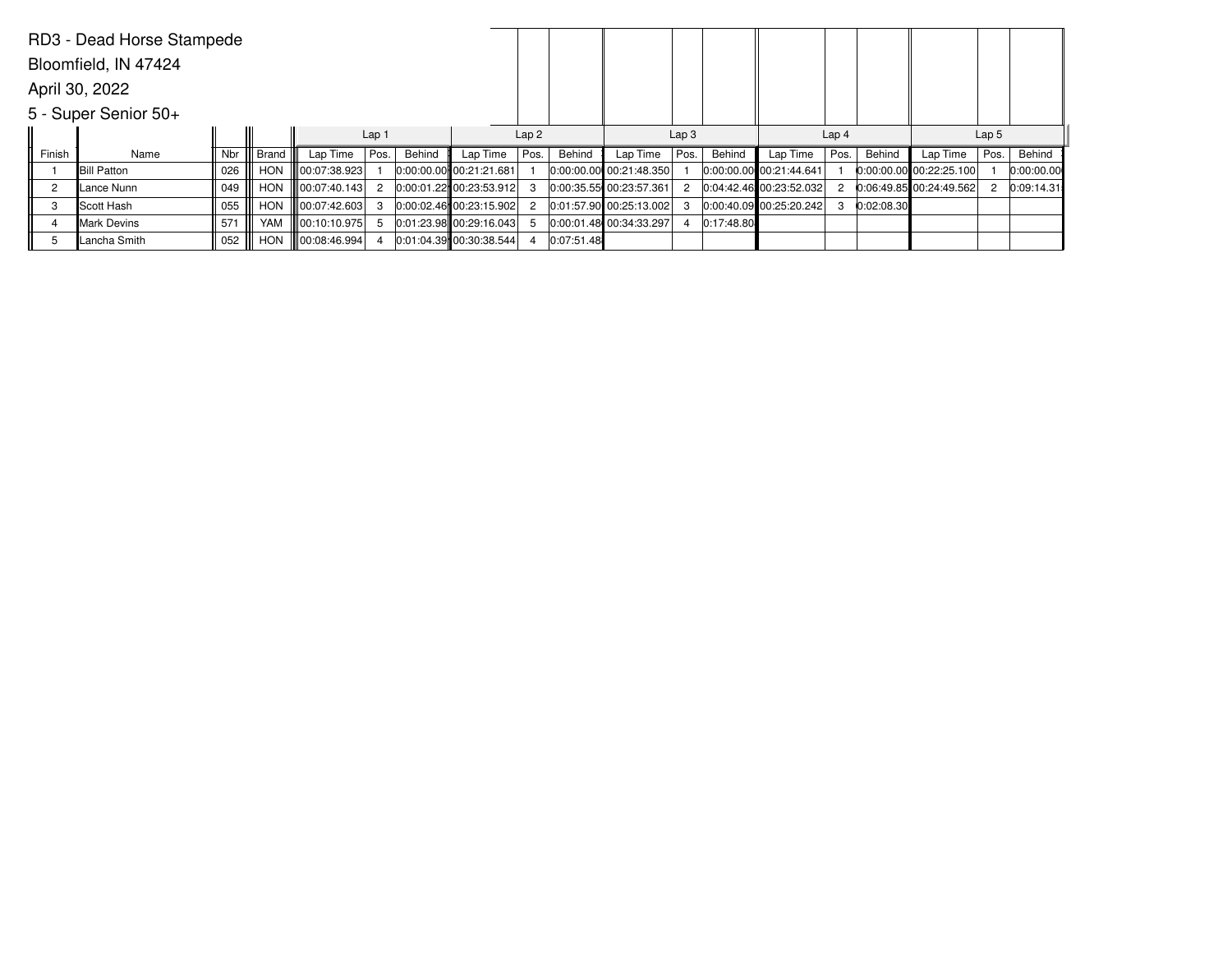|                | RD3 - Dead Horse Stampede |     |              |              |                  |        |                             |      |            |                         |                  |            |                             |                  |            |                           |                  |            |
|----------------|---------------------------|-----|--------------|--------------|------------------|--------|-----------------------------|------|------------|-------------------------|------------------|------------|-----------------------------|------------------|------------|---------------------------|------------------|------------|
|                | Bloomfield, IN 47424      |     |              |              |                  |        |                             |      |            |                         |                  |            |                             |                  |            |                           |                  |            |
|                | April 30, 2022            |     |              |              |                  |        |                             |      |            |                         |                  |            |                             |                  |            |                           |                  |            |
|                | 5 - Super Senior 50+      |     |              |              |                  |        |                             |      |            |                         |                  |            |                             |                  |            |                           |                  |            |
|                |                           |     |              |              | Lap <sub>1</sub> |        |                             | Lap2 |            |                         | Lap <sub>3</sub> |            |                             | Lap <sub>4</sub> |            |                           | Lap <sub>5</sub> |            |
| Finish         | Name                      | Nbr | <b>Brand</b> | Lap Time     | Pos.             | Behind | Lap Time                    | Pos. | Behind     | Lap Time                | Pos.             | Behind     | Lap Time                    | Pos.             | Behind     | Lap Time                  | Pos.             | Behind     |
|                | <b>Bill Patton</b>        | 026 | <b>HON</b>   | 00:07:38.923 |                  |        | $ 0:00:00.00 $ 00:21:21.681 |      |            | 0:00:00.00 00:21:48.350 |                  |            | 0:00:00.00 00:21:44.641     |                  |            | $0:00:00.00$ 00:22:25.100 |                  | 0:00:00.00 |
| $\overline{2}$ | Lance Nunn                | 049 | <b>HON</b>   | 00:07:40.143 | $\overline{2}$   |        | $0:00:01.22$ 00:23:53.912   |      |            | 0:00:35.55 00:23:57.361 | 2                |            | 0:04:42.46 00:23:52.032     | 2                |            | $0:06:49.85$ 00:24:49.562 |                  | 0:09:14.31 |
| 3              | Scott Hash                | 055 | <b>HON</b>   | 00:07:42.603 | 3                |        | $0:00:02.46$ 00:23:15.902   |      |            | 0:01:57.90 00:25:13.002 | 3                |            | $ 0:00:40.09 $ 00:25:20.242 | 3                | 0:02:08.30 |                           |                  |            |
|                | Mark Devins               | 571 | YAM          | 00:10:10.975 | -5               |        | $0:01:23.98$ 00:29:16.043   |      |            | 0:00:01.48 00:34:33.297 |                  | 0:17:48.80 |                             |                  |            |                           |                  |            |
| 5              | Lancha Smith              | 052 | <b>HON</b>   | 00:08:46.994 |                  |        | $0:01:04.39$ 00:30:38.544   |      | 0:07:51.48 |                         |                  |            |                             |                  |            |                           |                  |            |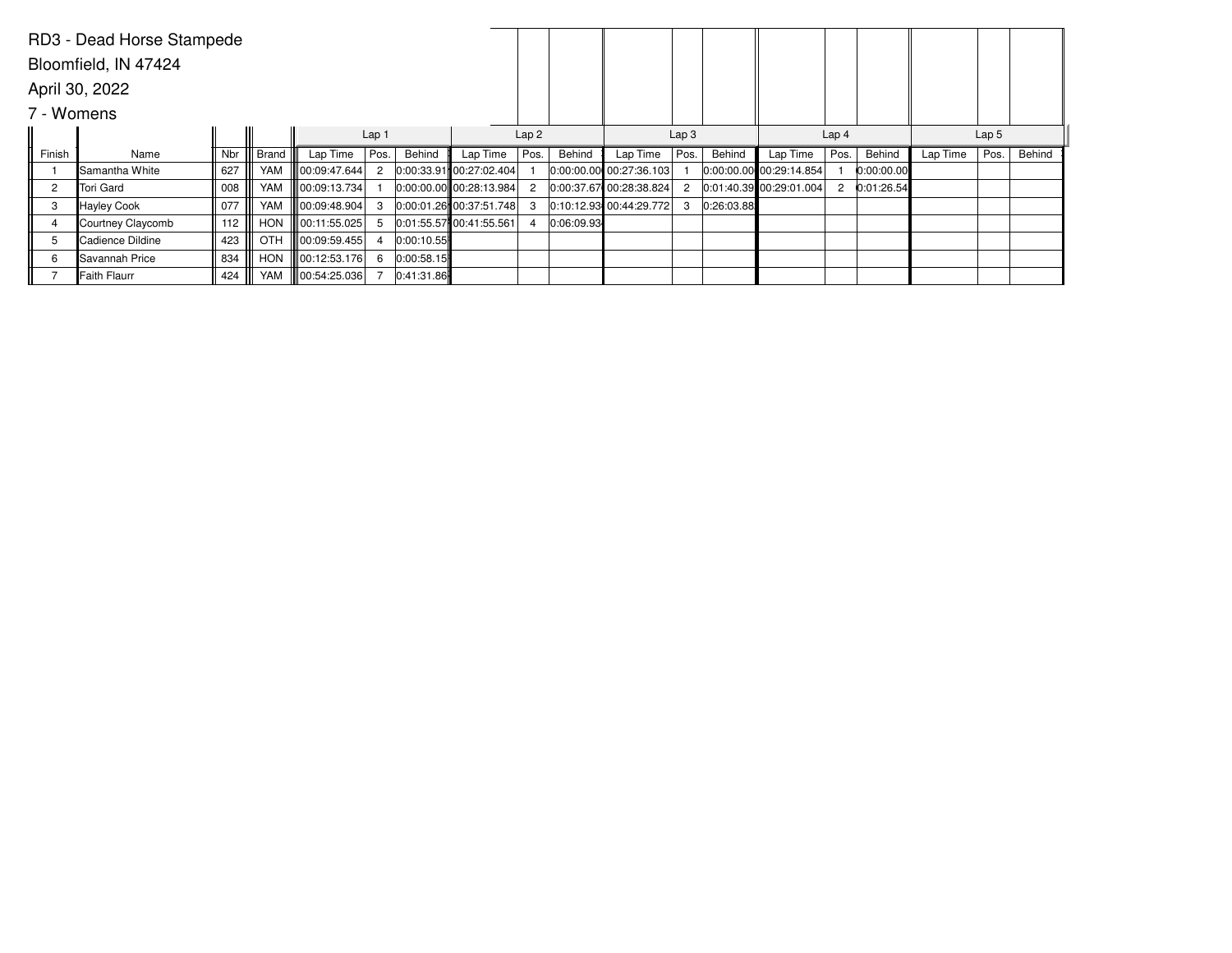|                | RD3 - Dead Horse Stampede |     |              |                      |                  |            |                             |                |            |                           |                  |            |                             |                  |            |          |                  |        |
|----------------|---------------------------|-----|--------------|----------------------|------------------|------------|-----------------------------|----------------|------------|---------------------------|------------------|------------|-----------------------------|------------------|------------|----------|------------------|--------|
|                | Bloomfield, IN 47424      |     |              |                      |                  |            |                             |                |            |                           |                  |            |                             |                  |            |          |                  |        |
|                | April 30, 2022            |     |              |                      |                  |            |                             |                |            |                           |                  |            |                             |                  |            |          |                  |        |
| 7 - Womens     |                           |     |              |                      |                  |            |                             |                |            |                           |                  |            |                             |                  |            |          |                  |        |
|                |                           |     |              |                      | Lap <sub>1</sub> |            |                             | Lap2           |            |                           | Lap <sub>3</sub> |            |                             | Lap <sub>4</sub> |            |          | Lap <sub>5</sub> |        |
| Finish         | Name                      | Nbr | <b>Brand</b> | Lap Time             | Pos.             | Behind     | Lap Time                    | Pos.           | Behind     | Lap Time                  | Pos.             | Behind     | Lap Time                    | Pos.             | Behind     | Lap Time | Pos.             | Behind |
|                | llSamantha White          | 627 | YAM          | 00:09:47.644         | 2                |            | 0.00:33.91 00:27:02.404     |                |            | $0:00:00.00$ 00:27:36.103 |                  |            | $ 0:00:00.00 $ 00:29:14.854 |                  | 0:00:00.00 |          |                  |        |
| $\overline{c}$ | Tori Gard                 | 008 | YAM          | 00:09:13.734         |                  |            | 0:00:00.00 00:28:13.984     | $\overline{2}$ |            | 0:00:37.67 00:28:38.824   | 2                |            | $ 0.01:40.39 $ 00:29:01.004 | 2                | 0:01:26.54 |          |                  |        |
| 3              | <b>Hayley Cook</b>        | 077 | YAM          | 00:09:48.904         | 3                |            | 0.00:01.26 00:37:51.748     | 3              |            | 0:10:12.93 00:44:29.772   | 3                | 0:26:03.88 |                             |                  |            |          |                  |        |
|                | Courtney Claycomb         | 112 | HON          | 00:11:55.025         | 5                |            | $ 0.01:55.57 $ 00:41:55.561 | $\overline{4}$ | 0:06:09.93 |                           |                  |            |                             |                  |            |          |                  |        |
| 5              | Cadience Dildine          | 423 | OTH          | $\  00:09:59.455 \ $ | 4                | 0:00:10.55 |                             |                |            |                           |                  |            |                             |                  |            |          |                  |        |
| 6              | lSavannah Price           | 834 | HON          | $\  00:12:53.176 \ $ | 6                | 0:00:58.15 |                             |                |            |                           |                  |            |                             |                  |            |          |                  |        |
|                | <b>Faith Flaurr</b>       | 424 | YAM          | 00:54:25.036         |                  | 0:41:31.86 |                             |                |            |                           |                  |            |                             |                  |            |          |                  |        |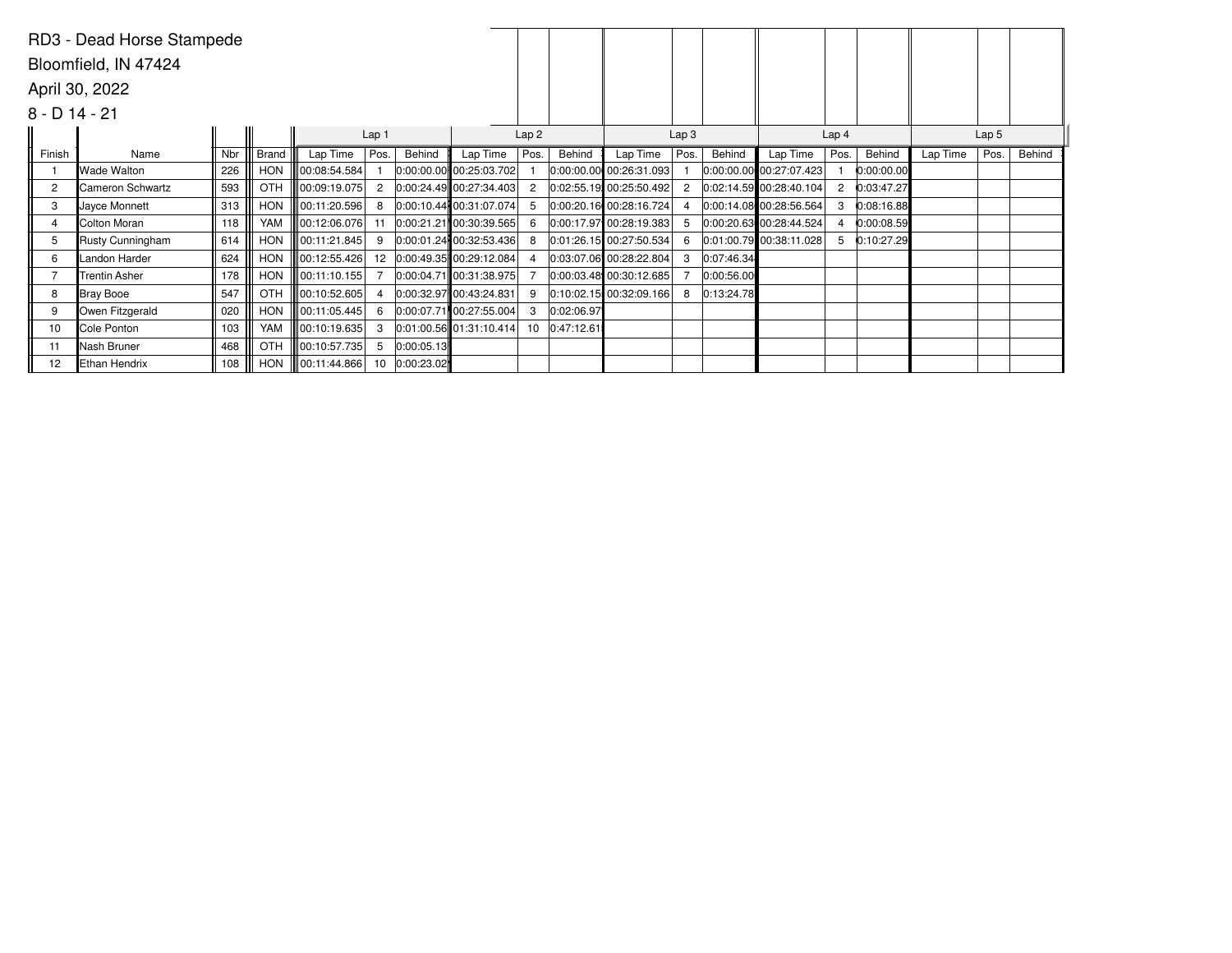|                 | RD3 - Dead Horse Stampede |     |              |                     |                |            |                           |      |            |                         |                  |            |                             |                  |            |          |                  |        |
|-----------------|---------------------------|-----|--------------|---------------------|----------------|------------|---------------------------|------|------------|-------------------------|------------------|------------|-----------------------------|------------------|------------|----------|------------------|--------|
|                 | Bloomfield, IN 47424      |     |              |                     |                |            |                           |      |            |                         |                  |            |                             |                  |            |          |                  |        |
|                 | April 30, 2022            |     |              |                     |                |            |                           |      |            |                         |                  |            |                             |                  |            |          |                  |        |
| $8 - D$ 14 - 21 |                           |     |              |                     |                |            |                           |      |            |                         |                  |            |                             |                  |            |          |                  |        |
|                 |                           |     |              |                     | Lap 1          |            |                           | Lap2 |            |                         | Lap <sub>3</sub> |            |                             | Lap <sub>4</sub> |            |          | Lap <sub>5</sub> |        |
| Finish          | Name                      | Nbr | <b>Brand</b> | Lap Time            | Pos.           | Behind     | Lap Time                  | Pos. | Behind     | Lap Time                | Pos.             | Behind     | Lap Time                    | Pos.             | Behind     | Lap Time | Pos.             | Behind |
|                 | Wade Walton               | 226 | HON          | 00:08:54.584        |                |            | 0:00:00.00 00:25:03.702   |      |            | 0:00:00.00 00:26:31.093 |                  |            | $ 0:00:00.00 $ 00:27:07.423 |                  | 0:00:00.00 |          |                  |        |
| $\overline{c}$  | Cameron Schwartz          | 593 | OTH          | 00:09:19.075        | $\overline{2}$ |            | 0:00:24.49 00:27:34.403   | 2    |            | 0:02:55.19 00:25:50.492 | $\mathbf{2}$     |            | $0:02:14.59$ 00:28:40.104   | 2                | 0:03:47.27 |          |                  |        |
| 3               | Jayce Monnett             | 313 | HON          | 00:11:20.596        | 8              |            | 0:00:10.44 00:31:07.074   | -5   |            | 0:00:20.16 00:28:16.724 |                  |            | 0:00:14.08 00:28:56.564     |                  | 0:08:16.88 |          |                  |        |
| 4               | Colton Moran              | 118 | YAM          | $\ 00:12:06.076\ $  | 11             |            | 0:00:21.21 00:30:39.565   | 6    |            | 0:00:17.97 00:28:19.383 | 5                |            | $ 0:00:20.63 $ 00:28:44.524 |                  | 0:00:08.59 |          |                  |        |
| 5               | Rusty Cunningham          | 614 | HON          | 00:11:21.845        | 9              |            | 0:00:01.24 00:32:53.436   | 8    |            | 0:01:26.15 00:27:50.534 | 6                |            | 0:01:00.79 00:38:11.028     | 5                | 0:10:27.29 |          |                  |        |
| 6               | Landon Harder             | 624 | <b>HON</b>   | 00:12:55.426        | 12             |            | 0:00:49.35 00:29:12.084   | 4    |            | 0:03:07.06 00:28:22.804 | 3                | 0:07:46.34 |                             |                  |            |          |                  |        |
|                 | <b>Trentin Asher</b>      | 178 | HON          | 00:11:10.155        |                |            | 0:00:04.71 00:31:38.975   |      |            | 0:00:03.48 00:30:12.685 |                  | 0:00:56.00 |                             |                  |            |          |                  |        |
| 8               | Bray Booe                 | 547 | OTH          | 00:10:52.605        | $\overline{a}$ |            | 0.00:32.97 00:43:24.831   | 9    |            | 0:10:02.15 00:32:09.166 | 8                | 0:13:24.78 |                             |                  |            |          |                  |        |
| 9               | Owen Fitzgerald           | 020 | HON          | 00:11:05.445        | 6              |            | 0:00:07.71 00:27:55.004   | 3    | 0:02:06.97 |                         |                  |            |                             |                  |            |          |                  |        |
| 10              | Cole Ponton               | 103 | YAM          | 00:10:19.635        | -3             |            | $0:01:00.56$ 01:31:10.414 | 10   | 0:47:12.61 |                         |                  |            |                             |                  |            |          |                  |        |
| 11              | Nash Bruner               | 468 | OTH          | 00:10:57.735        | 5              | 0:00:05.13 |                           |      |            |                         |                  |            |                             |                  |            |          |                  |        |
| 12              | Ethan Hendrix             | 108 |              | HON    00:11:44.866 | 10             | 0:00:23.02 |                           |      |            |                         |                  |            |                             |                  |            |          |                  |        |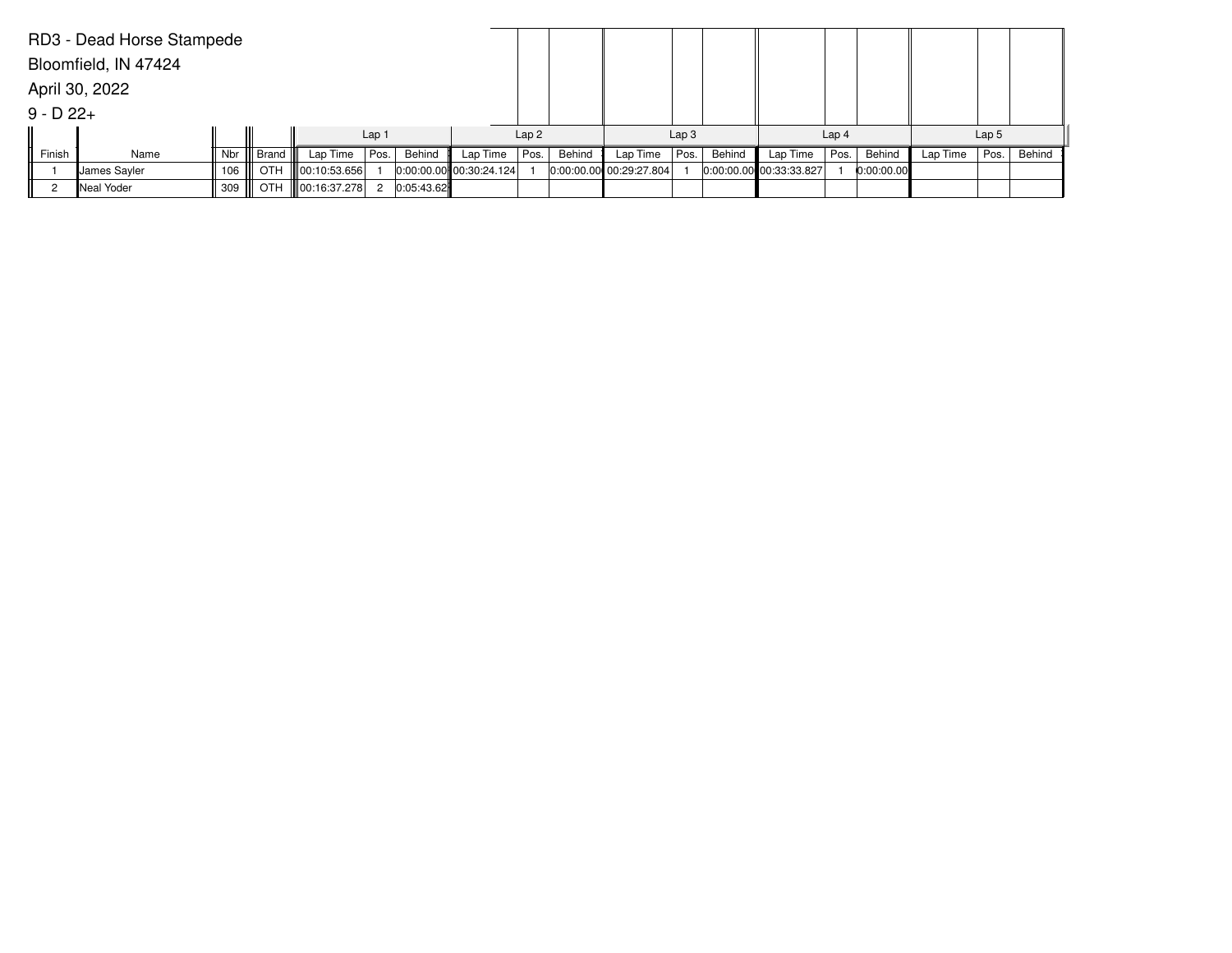|              | RD3 - Dead Horse Stampede |     |            |                      |                  |            |                             |      |        |                         |                  |        |                         |                  |            |          |                  |        |
|--------------|---------------------------|-----|------------|----------------------|------------------|------------|-----------------------------|------|--------|-------------------------|------------------|--------|-------------------------|------------------|------------|----------|------------------|--------|
|              | Bloomfield, IN 47424      |     |            |                      |                  |            |                             |      |        |                         |                  |        |                         |                  |            |          |                  |        |
|              | April 30, 2022            |     |            |                      |                  |            |                             |      |        |                         |                  |        |                         |                  |            |          |                  |        |
| $9 - D 22 +$ |                           |     |            |                      |                  |            |                             |      |        |                         |                  |        |                         |                  |            |          |                  |        |
|              |                           |     |            |                      | Lap <sub>1</sub> |            |                             | Lap2 |        |                         | Lap <sub>3</sub> |        |                         | Lap <sub>4</sub> |            |          | Lap <sub>5</sub> |        |
| Finish       | Name                      | Nbr | Brand      | Lap Time             | Pos.             | Behind     | Lap Time                    | Pos. | Behind | Lap Time                | Pos.             | Behind | Lap Time                | Pos.             | Behind     | Lap Time | Pos.             | Behind |
|              | Uames Sayler              | 106 | <b>OTH</b> | 00:10:53.656         |                  |            | $ 0:00:00.00 $ 00:30:24.124 |      |        | 0:00:00.00 00:29:27.804 |                  |        | 0:00:00.00 00:33:33.827 |                  | 0:00:00.00 |          |                  |        |
| ◠            | Neal Yoder                | 309 | OTH        | $\  00:16:37.278 \ $ | -2               | 0:05:43.62 |                             |      |        |                         |                  |        |                         |                  |            |          |                  |        |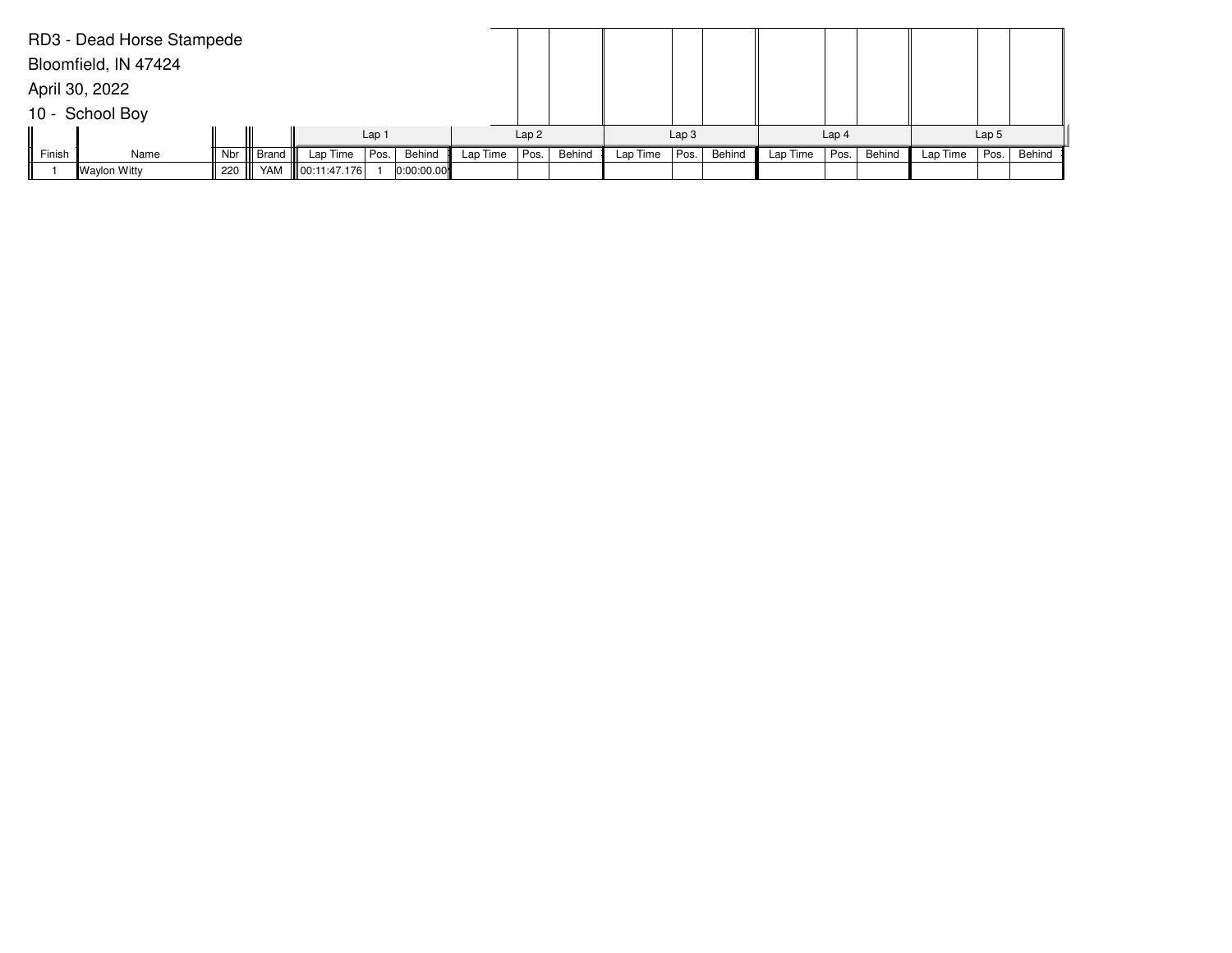|        | RD3 - Dead Horse Stampede |     |       |              |                  |            |          |      |        |          |                  |        |          |                  |        |          |                  |        |
|--------|---------------------------|-----|-------|--------------|------------------|------------|----------|------|--------|----------|------------------|--------|----------|------------------|--------|----------|------------------|--------|
|        | Bloomfield, IN 47424      |     |       |              |                  |            |          |      |        |          |                  |        |          |                  |        |          |                  |        |
|        | April 30, 2022            |     |       |              |                  |            |          |      |        |          |                  |        |          |                  |        |          |                  |        |
|        | 10 - School Boy           |     |       |              |                  |            |          |      |        |          |                  |        |          |                  |        |          |                  |        |
|        |                           |     |       |              | Lap <sub>1</sub> |            |          | Lap2 |        |          | Lap <sub>3</sub> |        |          | Lap <sub>4</sub> |        |          | Lap <sub>5</sub> |        |
| Finish | Name                      | Nbr | Brand | Lap Time     | Pos.             | Behind     | Lap Time | Pos. | Behind | Lap Time | Pos.             | Behind | Lap Time | Pos.             | Behind | Lap Time | Pos.             | Behind |
|        | Waylon Witty              | 220 | YAM   | 00:11:47.176 |                  | 0:00:00.00 |          |      |        |          |                  |        |          |                  |        |          |                  |        |